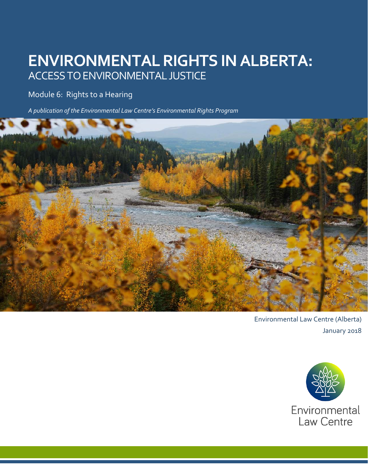# **ENVIRONMENTAL RIGHTS IN ALBERTA:** ACCESS TO ENVIRONMENTAL JUSTICE

## Module 6: Rights to a Hearing

*A publication of the Environmental Law Centre's Environmental Rights Program*



Environmental Law Centre (Alberta) January 2018

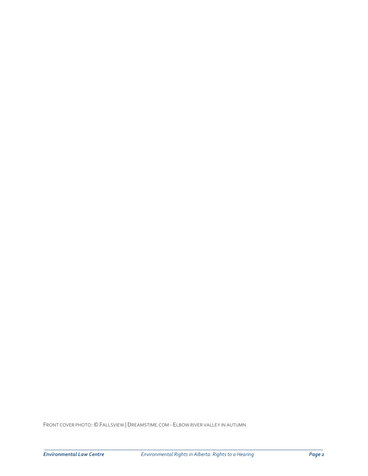FRONT COVER PHOTO: © FALLSVIEW |DREAMSTIME.COM - ELBOW RIVER VALLEY IN AUTUMN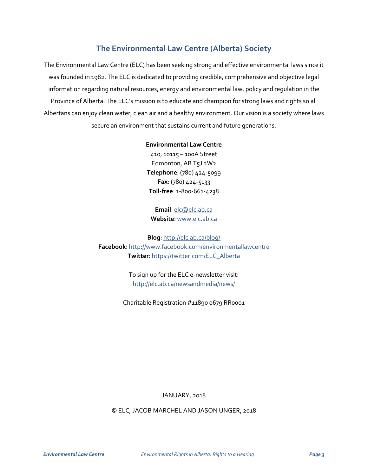## **The Environmental Law Centre (Alberta) Society**

The Environmental Law Centre (ELC) has been seeking strong and effective environmental laws since it was founded in 1982. The ELC is dedicated to providing credible, comprehensive and objective legal information regarding natural resources, energy and environmental law, policy and regulation in the Province of Alberta. The ELC's mission is to educate and champion for strong laws and rights so all Albertans can enjoy clean water, clean air and a healthy environment. Our vision is a society where laws secure an environment that sustains current and future generations.

#### **Environmental Law Centre**

410, 10115 – 100A Street Edmonton, AB T5J 2W2 **Telephone**: (780) 424-5099 **Fax**: (780) 424-5133 **Toll-free**: 1-800-661-4238

**Email**: [elc@elc.ab.ca](mailto:elc@elc.ab.ca) **Website**: [www.elc.ab.ca](http://www.elc.ab.ca/)

**Blog**:<http://elc.ab.ca/blog/> **Facebook**: <http://www.facebook.com/environmentallawcentre> **Twitter**: [https://twitter.com/ELC\\_Alberta](https://twitter.com/ELC_Alberta)

> To sign up for the ELC e-newsletter visit: <http://elc.ab.ca/newsandmedia/news/>

Charitable Registration #11890 0679 RR0001

JANUARY, 2018

© ELC, JACOB MARCHEL AND JASON UNGER, 2018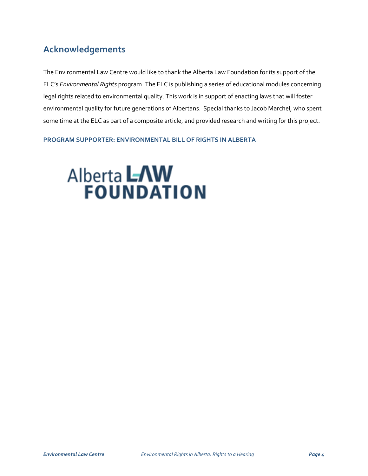# **Acknowledgements**

The Environmental Law Centre would like to thank the Alberta Law Foundation for its support of the ELC's *Environmental Rights* program. The ELC is publishing a series of educational modules concerning legal rights related to environmental quality. This work is in support of enacting laws that will foster environmental quality for future generations of Albertans. Special thanks to Jacob Marchel, who spent some time at the ELC as part of a composite article, and provided research and writing for this project.

**PROGRAM SUPPORTER: ENVIRONMENTAL BILL OF RIGHTS IN ALBERTA** 

# **Alberta LAW**<br>**FOUNDATION**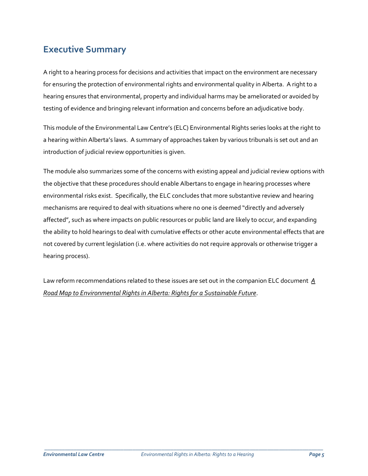# **Executive Summary**

A right to a hearing process for decisions and activities that impact on the environment are necessary for ensuring the protection of environmental rights and environmental quality in Alberta. A right to a hearing ensures that environmental, property and individual harms may be ameliorated or avoided by testing of evidence and bringing relevant information and concerns before an adjudicative body.

This module of the Environmental Law Centre's (ELC) Environmental Rights series looks at the right to a hearing within Alberta's laws. A summary of approaches taken by various tribunals is set out and an introduction of judicial review opportunities is given.

The module also summarizes some of the concerns with existing appeal and judicial review options with the objective that these procedures should enable Albertans to engage in hearing processes where environmental risks exist. Specifically, the ELC concludes that more substantive review and hearing mechanisms are required to deal with situations where no one is deemed "directly and adversely affected", such as where impacts on public resources or public land are likely to occur, and expanding the ability to hold hearings to deal with cumulative effects or other acute environmental effects that are not covered by current legislation (i.e. where activities do not require approvals or otherwise trigger a hearing process).

Law reform recommendations related to these issues are set out in the companion ELC document *[A](http://elc.ab.ca/wp-content/uploads/2017/09/Road-map-for-an-Environmental-Bill-of-Rights.pdf)  [Road Map to Environmental Rights in Alberta: Rights for a Sustainable Future](http://elc.ab.ca/wp-content/uploads/2017/09/Road-map-for-an-Environmental-Bill-of-Rights.pdf)*.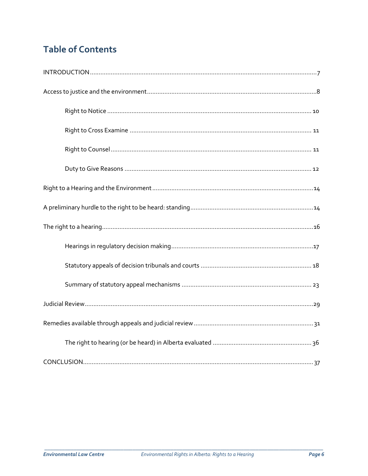# **Table of Contents**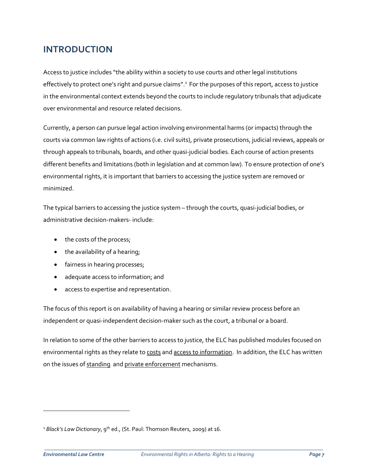## **INTRODUCTION**

Access to justice includes "the ability within a society to use courts and other legal institutions effectively to protect one's right and pursue claims".<sup>[1](#page-6-0)</sup> For the purposes of this report, access to justice in the environmental context extends beyond the courts to include regulatory tribunals that adjudicate over environmental and resource related decisions.

Currently, a person can pursue legal action involving environmental harms (or impacts) through the courts via common law rights of actions (i.e. civil suits), private prosecutions, judicial reviews, appeals or through appeals to tribunals, boards, and other quasi-judicial bodies. Each course of action presents different benefits and limitations (both in legislation and at common law). To ensure protection of one's environmental rights, it is important that barriers to accessing the justice system are removed or minimized.

The typical barriers to accessing the justice system – through the courts, quasi-judicial bodies, or administrative decision-makers- include:

- the costs of the process;
- the availability of a hearing;
- fairness in hearing processes;
- adequate access to information; and
- access to expertise and representation.

The focus of this report is on availability of having a hearing or similar review process before an independent or quasi-independent decision-maker such as the court, a tribunal or a board.

In relation to some of the other barriers to access to justice, the ELC has published modules focused on environmental rights as they relate to [costs](http://elc.ab.ca/?smd_process_download=1&download_id=19683) and access [to information.](http://elc.ab.ca/?smd_process_download=1&download_id=19683) In addition, the ELC has written on the issues of [standing](http://elc.ab.ca/media/98894/Report-on-standing-Final.pdf) an[d private enforcement](http://elc.ab.ca/wp-content/uploads/2016/12/EBR_Mod-3_-CitizenEnforcement.pdf) mechanisms.

 $\overline{\phantom{a}}$ 

<span id="page-6-0"></span><sup>&</sup>lt;sup>1</sup> Black's Law Dictionary, 9<sup>th</sup> ed., (St. Paul: Thomson Reuters, 2009) at 16.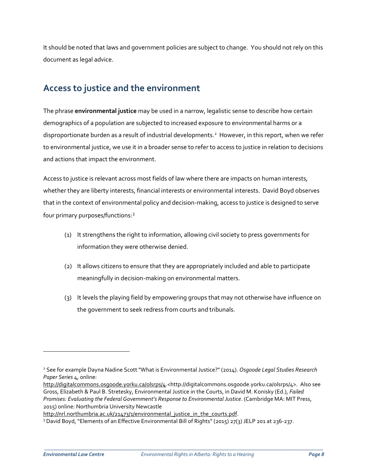It should be noted that laws and government policies are subject to change. You should not rely on this document as legal advice.

# **Access to justice and the environment**

The phrase **environmental justice** may be used in a narrow, legalistic sense to describe how certain demographics of a population are subjected to increased exposure to environmental harms or a disproportionate burden as a result of industrial developments.<sup>[2](#page-7-0)</sup> However, in this report, when we refer to environmental justice, we use it in a broader sense to refer to access to justice in relation to decisions and actions that impact the environment.

Access to justice is relevant across most fields of law where there are impacts on human interests, whether they are liberty interests, financial interests or environmental interests. David Boyd observes that in the context of environmental policy and decision-making, access to justice is designed to serve four primary purposes/functions:[3](#page-7-1)

- (1) It strengthens the right to information, allowing civil society to press governments for information they were otherwise denied.
- (2) It allows citizens to ensure that they are appropriately included and able to participate meaningfully in decision-making on environmental matters.
- (3) It levels the playing field by empowering groups that may not otherwise have influence on the government to seek redress from courts and tribunals.

\_\_\_\_\_\_\_\_\_\_\_\_\_\_\_\_\_\_\_\_\_\_\_\_\_\_\_\_\_\_\_\_\_\_\_\_\_\_\_\_\_\_\_\_\_\_\_\_\_\_\_\_\_\_\_\_\_\_\_\_\_\_\_\_\_\_\_\_\_\_\_\_\_\_\_\_\_\_\_\_\_\_\_\_\_\_\_\_\_\_\_\_\_\_\_

 $\overline{\phantom{0}}$ 

<span id="page-7-0"></span><sup>2</sup> See for example Dayna Nadine Scott "What is Environmental Justice?" (2014). *Osgoode Legal Studies Research Paper Series* 4, online:

[http://digitalcommons.osgoode.yorku.ca/olsrps/4.](http://digitalcommons.osgoode.yorku.ca/olsrps/4)<http://digitalcommons.osgoode.yorku.ca/olsrps/4>. Also see Gross, Elizabeth & Paul B. Stretesky, Environmental Justice in the Courts, in David M. Konisky (Ed.), *Failed Promises: Evaluating the Federal Government's Response to Environmental Justice*. (Cambridge MA: MIT Press, 2015) online: Northumbria University Newcastle

[http://nrl.northumbria.ac.uk/21473/1/environmental\\_justice\\_in\\_the\\_courts.pdf.](http://nrl.northumbria.ac.uk/21473/1/environmental_justice_in_the_courts.pdf)

<span id="page-7-1"></span><sup>3</sup> David Boyd, "Elements of an Effective Environmental Bill of Rights" (2015) 27(3) JELP 201 at 236-237.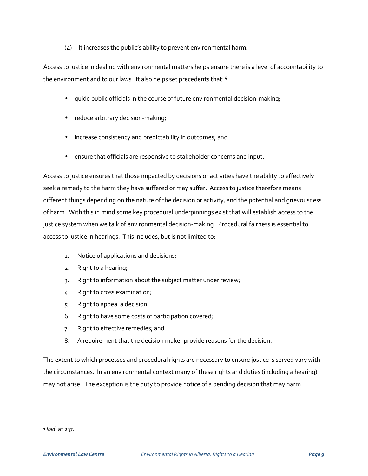#### (4) It increases the public's ability to prevent environmental harm.

Access to justice in dealing with environmental matters helps ensure there is a level of accountability to the environment and to our laws. It also helps set precedents that: [4](#page-8-0)

- guide public officials in the course of future environmental decision-making;
- reduce arbitrary decision-making;
- increase consistency and predictability in outcomes; and
- ensure that officials are responsive to stakeholder concerns and input.

Access to justice ensures that those impacted by decisions or activities have the ability to effectively seek a remedy to the harm they have suffered or may suffer. Access to justice therefore means different things depending on the nature of the decision or activity, and the potential and grievousness of harm. With this in mind some key procedural underpinnings exist that will establish access to the justice system when we talk of environmental decision-making. Procedural fairness is essential to access to justice in hearings. This includes, but is not limited to:

- 1. Notice of applications and decisions;
- 2. Right to a hearing;
- 3. Right to information about the subject matter under review;
- 4. Right to cross examination;
- 5. Right to appeal a decision;
- 6. Right to have some costs of participation covered;
- 7. Right to effective remedies; and
- 8. A requirement that the decision maker provide reasons for the decision.

The extent to which processes and procedural rights are necessary to ensure justice is served vary with the circumstances. In an environmental context many of these rights and duties (including a hearing) may not arise. The exception is the duty to provide notice of a pending decision that may harm

 $\overline{a}$ 

<span id="page-8-0"></span><sup>4</sup> *Ibid.* at 237.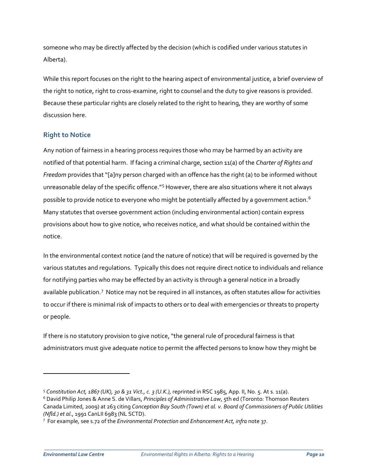someone who may be directly affected by the decision (which is codified under various statutes in Alberta).

While this report focuses on the right to the hearing aspect of environmental justice, a brief overview of the right to notice, right to cross-examine, right to counsel and the duty to give reasons is provided. Because these particular rights are closely related to the right to hearing, they are worthy of some discussion here.

## **Right to Notice**

Any notion of fairness in a hearing process requires those who may be harmed by an activity are notified of that potential harm. If facing a criminal charge, section 11(a) of the *Charter of Rights and Freedom* provides that "[a]ny person charged with an offence has the right (a) to be informed without unreasonable delay of the specific offence."<sup>[5](#page-9-0)</sup> However, there are also situations where it not always possible to provide notice to everyone who might be potentially affected by a government action.<sup>[6](#page-9-1)</sup> Many statutes that oversee government action (including environmental action) contain express provisions about how to give notice, who receives notice, and what should be contained within the notice.

In the environmental context notice (and the nature of notice) that will be required is governed by the various statutes and regulations. Typically this does not require direct notice to individuals and reliance for notifying parties who may be effected by an activity is through a general notice in a broadly available publication.<sup>[7](#page-9-2)</sup> Notice may not be required in all instances, as often statutes allow for activities to occur if there is minimal risk of impacts to others or to deal with emergencies or threats to property or people.

If there is no statutory provision to give notice, "the general rule of procedural fairness is that administrators must give adequate notice to permit the affected persons to know how they might be

\_\_\_\_\_\_\_\_\_\_\_\_\_\_\_\_\_\_\_\_\_\_\_\_\_\_\_\_\_\_\_\_\_\_\_\_\_\_\_\_\_\_\_\_\_\_\_\_\_\_\_\_\_\_\_\_\_\_\_\_\_\_\_\_\_\_\_\_\_\_\_\_\_\_\_\_\_\_\_\_\_\_\_\_\_\_\_\_\_\_\_\_\_\_\_

 $\overline{a}$ 

<span id="page-9-0"></span><sup>5</sup> *Constitution Act, 1867 (UK), 30 & 31 Vict., c. 3 (U.K.),* reprinted in RSC 1985, App. II, No. 5. At s. 11(a).

<span id="page-9-1"></span><sup>6</sup> David Philip Jones & Anne S. de Villars, *Principles of Administrative Law*, 5th ed (Toronto: Thomson Reuters Canada Limited, 2009) at 263 citing *Conception Bay South (Town) et al. v. Board of Commissioners of Public Utilities* 

<span id="page-9-2"></span>*<sup>(</sup>Nfld.) et al*., 1991 CanLII 6983 (NL SCTD). 7 For example, see s.72 of the *Environmental Protection and Enhancement Act, infra* note 37.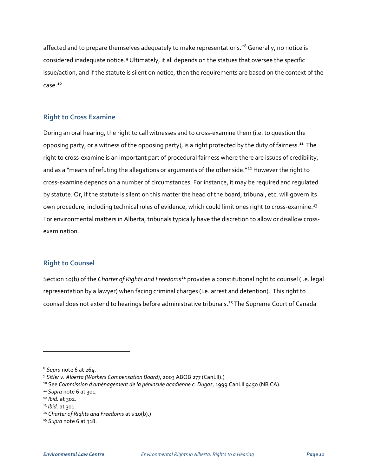affected and to prepare themselves adequately to make representations."<sup>[8](#page-10-0)</sup> Generally, no notice is considered inadequate notice.[9](#page-10-1) Ultimately, it all depends on the statues that oversee the specific issue/action, and if the statute is silent on notice, then the requirements are based on the context of the case.[10](#page-10-2) 

### **Right to Cross Examine**

During an oral hearing, the right to call witnesses and to cross-examine them (i.e. to question the opposing party, or a witness of the opposing party), is a right protected by the duty of fairness.<sup>[11](#page-10-3)</sup> The right to cross-examine is an important part of procedural fairness where there are issues of credibility, and as a "means of refuting the allegations or arguments of the other side."<sup>[12](#page-10-4)</sup> However the right to cross-examine depends on a number of circumstances. For instance, it may be required and regulated by statute. Or, if the statute is silent on this matter the head of the board, tribunal, etc. will govern its own procedure, including technical rules of evidence, which could limit ones right to cross-examine.<sup>[13](#page-10-5)</sup> For environmental matters in Alberta, tribunals typically have the discretion to allow or disallow crossexamination.

## **Right to Counsel**

Section 10(b) of the *Charter of Rights and Freedoms[14](#page-10-6)* provides a constitutional right to counsel (i.e. legal representation by a lawyer) when facing criminal charges (i.e. arrest and detention). This right to counsel does not extend to hearings before administrative tribunals.[15](#page-10-7) The Supreme Court of Canada

 $\overline{a}$ 

<span id="page-10-1"></span><span id="page-10-0"></span><sup>&</sup>lt;sup>8</sup> Supra note 6 at 264.<br><sup>9</sup> Sitler v. Alberta (Workers Compensation Board), 2003 ABQB 277 (CanLII).)

<span id="page-10-2"></span><sup>&</sup>lt;sup>10</sup> See *Commission d'aménagement de la péninsule acadienne c. Dugas*, 1999 CanLII 9450 (NB CA).<br><sup>11</sup> *Supra* note 6 at 301.<br><sup>12</sup> *Ibid.* at 302.<br><sup>13</sup> *Ibid.* at 301.

<span id="page-10-3"></span>

<span id="page-10-4"></span>

<span id="page-10-5"></span>

<span id="page-10-6"></span><sup>14</sup> *Charter of Rights and Freedoms* at s 10(b).)

<span id="page-10-7"></span><sup>15</sup> *Supra* note 6 at 318.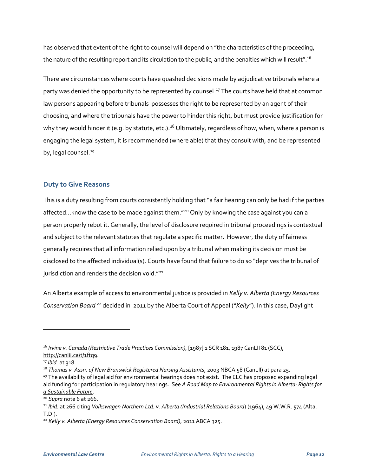has observed that extent of the right to counsel will depend on "the characteristics of the proceeding, the nature of the resulting report and its circulation to the public, and the penalties which will result".<sup>[16](#page-11-0)</sup>

There are circumstances where courts have quashed decisions made by adjudicative tribunals where a party was denied the opportunity to be represented by counsel.<sup>[17](#page-11-1)</sup> The courts have held that at common law persons appearing before tribunals possesses the right to be represented by an agent of their choosing, and where the tribunals have the power to hinder this right, but must provide justification for why they would hinder it (e.g. by statute, etc.).<sup>[18](#page-11-2)</sup> Ultimately, regardless of how, when, where a person is engaging the legal system, it is recommended (where able) that they consult with, and be represented by, legal counsel.<sup>[19](#page-11-3)</sup>

### **Duty to Give Reasons**

This is a duty resulting from courts consistently holding that "a fair hearing can only be had if the parties affected...know the case to be made against them."<sup>[20](#page-11-4)</sup> Only by knowing the case against you can a person properly rebut it. Generally, the level of disclosure required in tribunal proceedings is contextual and subject to the relevant statutes that regulate a specific matter. However, the duty of fairness generally requires that all information relied upon by a tribunal when making its decision must be disclosed to the affected individual(s). Courts have found that failure to do so "deprives the tribunal of jurisdiction and renders the decision void."<sup>[21](#page-11-5)</sup>

An Alberta example of access to environmental justice is provided in *Kelly v. Alberta (Energy Resources Conservation Board* [22](#page-11-6) decided in 2011 by the Alberta Court of Appeal ("*Kelly*"). In this case, Daylight

 $\overline{a}$ 

<span id="page-11-0"></span><sup>16</sup> *Irvine v. Canada (Restrictive Trade Practices Commission)*, [1987] 1 SCR 181, 1987 CanLII 81 (SCC), [http://canlii.ca/t/1ftq9.](http://canlii.ca/t/1ftq9)<br><sup>17</sup> Ibid. at 318.<br><sup>18</sup> Thomas v. Assn. of New Brunswick Registered Nursing Assistants, 2003 NBCA 58 (CanLII) at para 25.

<span id="page-11-1"></span>

<span id="page-11-3"></span><span id="page-11-2"></span><sup>&</sup>lt;sup>19</sup> The availability of legal aid for environmental hearings does not exist. The ELC has proposed expanding legal aid funding for participation in regulatory hearings. See *[A Road Map to Environmental Rights in Alberta: Rights for](http://elc.ab.ca/wp-content/uploads/2017/09/Road-map-for-an-Environmental-Bill-of-Rights.pdf)  [a Sustainable Future](http://elc.ab.ca/wp-content/uploads/2017/09/Road-map-for-an-Environmental-Bill-of-Rights.pdf)*.

<span id="page-11-4"></span><sup>20</sup> *Supra* note 6 at 266.

<span id="page-11-5"></span><sup>21</sup> *Ibid.* at 266 citing *Volkswagen Northern Ltd. v. Alberta (Industrial Relations Board*) (1964), 49 W.W.R. 574 (Alta. T.D.).

<span id="page-11-6"></span><sup>22</sup> *Kelly v. Alberta (Energy Resources Conservation Board)*, 2011 ABCA 325.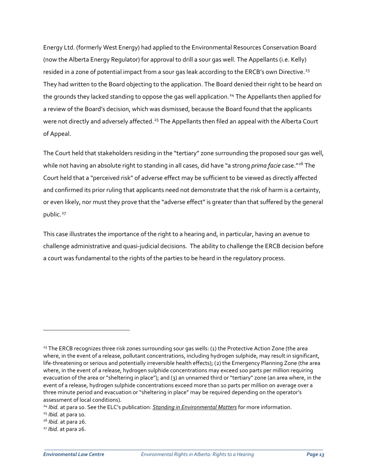Energy Ltd. (formerly West Energy) had applied to the Environmental Resources Conservation Board (now the Alberta Energy Regulator) for approval to drill a sour gas well. The Appellants (i.e. Kelly) resided in a zone of potential impact from a sour gas leak according to the ERCB's own Directive.<sup>[23](#page-12-0)</sup> They had written to the Board objecting to the application. The Board denied their right to be heard on the grounds they lacked standing to oppose the gas well application.<sup>[24](#page-12-1)</sup> The Appellants then applied for a review of the Board's decision, which was dismissed, because the Board found that the applicants were not directly and adversely affected.<sup>[25](#page-12-2)</sup> The Appellants then filed an appeal with the Alberta Court of Appeal.

The Court held that stakeholders residing in the "tertiary" zone surrounding the proposed sour gas well, while not having an absolute right to standing in all cases, did have "a strong *prima facie* case."[26](#page-12-3) The Court held that a "perceived risk" of adverse effect may be sufficient to be viewed as directly affected and confirmed its prior ruling that applicants need not demonstrate that the risk of harm is a certainty, or even likely, nor must they prove that the "adverse effect" is greater than that suffered by the general public.<sup>[27](#page-12-4)</sup>

This case illustrates the importance of the right to a hearing and, in particular, having an avenue to challenge administrative and quasi-judicial decisions. The ability to challenge the ERCB decision before a court was fundamental to the rights of the parties to be heard in the regulatory process.

 $\overline{a}$ 

<span id="page-12-0"></span><sup>&</sup>lt;sup>23</sup> The ERCB recognizes three risk zones surrounding sour gas wells: (1) the Protective Action Zone (the area where, in the event of a release, pollutant concentrations, including hydrogen sulphide, may result in significant, life-threatening or serious and potentially irreversible health effects); (2) the Emergency Planning Zone (the area where, in the event of a release, hydrogen sulphide concentrations may exceed 100 parts per million requiring evacuation of the area or "sheltering in place"); and (3) an unnamed third or "tertiary" zone (an area where, in the event of a release, hydrogen sulphide concentrations exceed more than 10 parts per million on average over a three minute period and evacuation or "sheltering in place" may be required depending on the operator's assessment of local conditions).

<span id="page-12-1"></span><sup>24</sup> *Ibid.* at para 10. See the ELC's publication: *[Standing in Environmental Matters](http://elc.ab.ca/?smd_process_download=1&download_id=18910)* for more information.

<span id="page-12-2"></span><sup>25</sup> *Ibid.* at para 10.

<span id="page-12-3"></span><sup>26</sup> *Ibid.* at para 26. 27 *Ibid.* at para 26.

<span id="page-12-4"></span>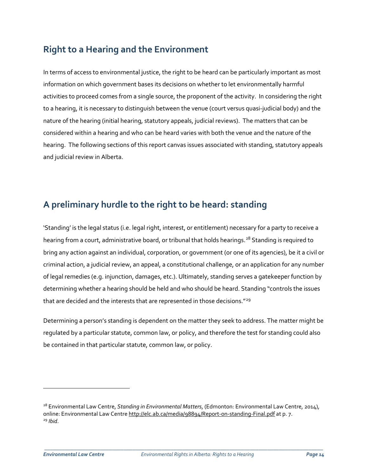# **Right to a Hearing and the Environment**

In terms of access to environmental justice, the right to be heard can be particularly important as most information on which government bases its decisions on whether to let environmentally harmful activities to proceed comes from a single source, the proponent of the activity. In considering the right to a hearing, it is necessary to distinguish between the venue (court versus quasi-judicial body) and the nature of the hearing (initial hearing, statutory appeals, judicial reviews). The matters that can be considered within a hearing and who can be heard varies with both the venue and the nature of the hearing. The following sections of this report canvas issues associated with standing, statutory appeals and judicial review in Alberta.

# **A preliminary hurdle to the right to be heard: standing**

'Standing' is the legal status (i.e. legal right, interest, or entitlement) necessary for a party to receive a hearing from a court, administrative board, or tribunal that holds hearings.<sup>[28](#page-13-0)</sup> Standing is required to bring any action against an individual, corporation, or government (or one of its agencies), be it a civil or criminal action, a judicial review, an appeal, a constitutional challenge, or an application for any number of legal remedies (e.g. injunction, damages, etc.). Ultimately, standing serves a gatekeeper function by determining whether a hearing should be held and who should be heard. Standing "controls the issues that are decided and the interests that are represented in those decisions."<sup>[29](#page-13-1)</sup>

Determining a person's standing is dependent on the matter they seek to address. The matter might be regulated by a particular statute, common law, or policy, and therefore the test for standing could also be contained in that particular statute, common law, or policy.

\_\_\_\_\_\_\_\_\_\_\_\_\_\_\_\_\_\_\_\_\_\_\_\_\_\_\_\_\_\_\_\_\_\_\_\_\_\_\_\_\_\_\_\_\_\_\_\_\_\_\_\_\_\_\_\_\_\_\_\_\_\_\_\_\_\_\_\_\_\_\_\_\_\_\_\_\_\_\_\_\_\_\_\_\_\_\_\_\_\_\_\_\_\_\_

 $\overline{a}$ 

<span id="page-13-1"></span><span id="page-13-0"></span><sup>28</sup> Environmental Law Centre, *Standing in Environmental Matters*, (Edmonton: Environmental Law Centre, 2014), online: Environmental Law Centr[e http://elc.ab.ca/media/98894/Report-on-standing-Final.pdf](http://elc.ab.ca/media/98894/Report-on-standing-Final.pdf) at p. 7. <sup>29</sup> *Ibid*.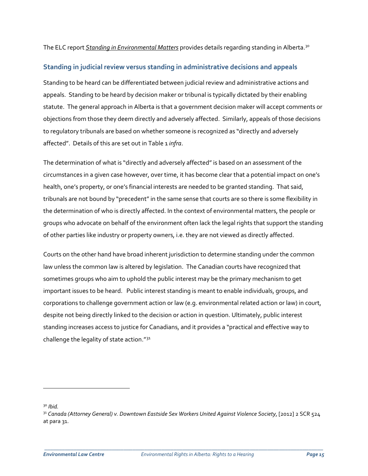The ELC report *[Standing in Environmental Matters](http://elc.ab.ca/?smd_process_download=1&download_id=18910)* provides details regarding standing in Alberta[.30](#page-14-0)

### **Standing in judicial review versus standing in administrative decisions and appeals**

Standing to be heard can be differentiated between judicial review and administrative actions and appeals. Standing to be heard by decision maker or tribunal is typically dictated by their enabling statute. The general approach in Alberta is that a government decision maker will accept comments or objections from those they deem directly and adversely affected. Similarly, appeals of those decisions to regulatory tribunals are based on whether someone is recognized as "directly and adversely affected". Details of this are set out in Table 1 *infra*.

The determination of what is "directly and adversely affected" is based on an assessment of the circumstances in a given case however, over time, it has become clear that a potential impact on one's health, one's property, or one's financial interests are needed to be granted standing. That said, tribunals are not bound by "precedent" in the same sense that courts are so there is some flexibility in the determination of who is directly affected. In the context of environmental matters, the people or groups who advocate on behalf of the environment often lack the legal rights that support the standing of other parties like industry or property owners, i.e. they are not viewed as directly affected.

Courts on the other hand have broad inherent jurisdiction to determine standing under the common law unless the common law is altered by legislation. The Canadian courts have recognized that sometimes groups who aim to uphold the public interest may be the primary mechanism to get important issues to be heard. Public interest standing is meant to enable individuals, groups, and corporations to challenge government action or law (e.g. environmental related action or law) in court, despite not being directly linked to the decision or action in question. Ultimately, public interest standing increases access to justice for Canadians, and it provides a "practical and effective way to challenge the legality of state action."[31](#page-14-1)

 $\overline{a}$ 

<span id="page-14-0"></span><sup>30</sup> *Ibid.*

<span id="page-14-1"></span><sup>31</sup> *Canada (Attorney General) v. Downtown Eastside Sex Workers United Against Violence Society*, [2012] 2 SCR 524 at para 31.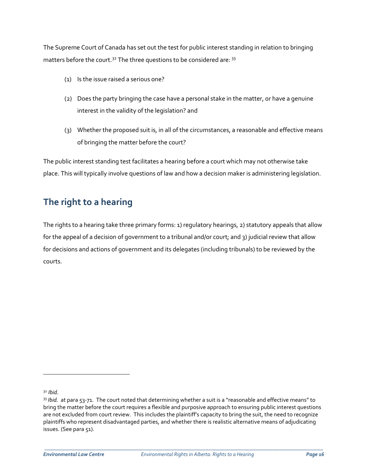The Supreme Court of Canada has set out the test for public interest standing in relation to bringing matters before the court.<sup>[32](#page-15-0)</sup> The three questions to be considered are: <sup>[33](#page-15-1)</sup>

- (1) Is the issue raised a serious one?
- (2) Does the party bringing the case have a personal stake in the matter, or have a genuine interest in the validity of the legislation? and
- (3) Whether the proposed suit is, in all of the circumstances, a reasonable and effective means of bringing the matter before the court?

The public interest standing test facilitates a hearing before a court which may not otherwise take place. This will typically involve questions of law and how a decision maker is administering legislation.

# **The right to a hearing**

The rights to a hearing take three primary forms: 1) regulatory hearings, 2) statutory appeals that allow for the appeal of a decision of government to a tribunal and/or court; and 3) judicial review that allow for decisions and actions of government and its delegates (including tribunals) to be reviewed by the courts.

 $\overline{a}$ 

<span id="page-15-0"></span>

<span id="page-15-1"></span><sup>&</sup>lt;sup>32</sup> *Ibid.*<br><sup>33</sup> *Ibid.* at para 53-71. The court noted that determining whether a suit is a "reasonable and effective means" to bring the matter before the court requires a flexible and purposive approach to ensuring public interest questions are not excluded from court review. This includes the plaintiff's capacity to bring the suit, the need to recognize plaintiffs who represent disadvantaged parties, and whether there is realistic alternative means of adjudicating issues. (See para 51).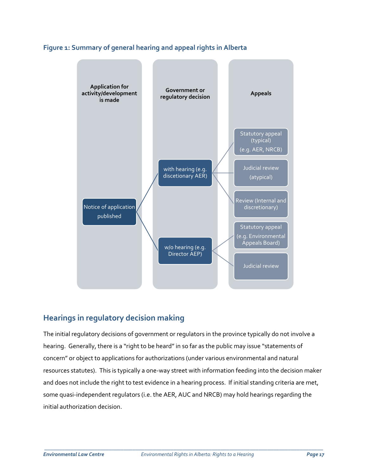



## **Hearings in regulatory decision making**

The initial regulatory decisions of government or regulators in the province typically do not involve a hearing. Generally, there is a "right to be heard" in so far as the public may issue "statements of concern" or object to applications for authorizations (under various environmental and natural resources statutes). This is typically a one-way street with information feeding into the decision maker and does not include the right to test evidence in a hearing process. If initial standing criteria are met, some quasi-independent regulators (i.e. the AER, AUC and NRCB) may hold hearings regarding the initial authorization decision.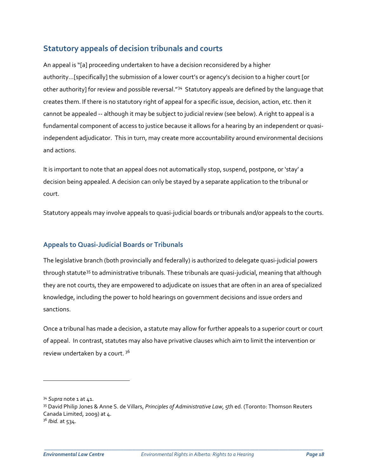## **Statutory appeals of decision tribunals and courts**

An appeal is "[a] proceeding undertaken to have a decision reconsidered by a higher authority…[specifically] the submission of a lower court's or agency's decision to a higher court [or other authority] for review and possible reversal."[34](#page-17-0) Statutory appeals are defined by the language that creates them. If there is no statutory right of appeal for a specific issue, decision, action, etc. then it cannot be appealed -- although it may be subject to judicial review (see below). A right to appeal is a fundamental component of access to justice because it allows for a hearing by an independent or quasiindependent adjudicator. This in turn, may create more accountability around environmental decisions and actions.

It is important to note that an appeal does not automatically stop, suspend, postpone, or 'stay' a decision being appealed. A decision can only be stayed by a separate application to the tribunal or court.

Statutory appeals may involve appeals to quasi-judicial boards or tribunals and/or appeals to the courts.

## **Appeals to Quasi-Judicial Boards or Tribunals**

The legislative branch (both provincially and federally) is authorized to delegate quasi-judicial powers through statute<sup>[35](#page-17-1)</sup> to administrative tribunals. These tribunals are quasi-judicial, meaning that although they are not courts, they are empowered to adjudicate on issues that are often in an area of specialized knowledge, including the power to hold hearings on government decisions and issue orders and sanctions.

Once a tribunal has made a decision, a statute may allow for further appeals to a superior court or court of appeal. In contrast, statutes may also have privative clauses which aim to limit the intervention or review undertaken by a court. [36](#page-17-2)

 $\overline{a}$ 

<span id="page-17-0"></span><sup>34</sup> *Supra* note 1 at 41.

<span id="page-17-2"></span><span id="page-17-1"></span><sup>35</sup> David Philip Jones & Anne S. de Villars, *Principles of Administrative Law*, 5th ed. (Toronto: Thomson Reuters Canada Limited, 2009) at 4. <sup>36</sup> *Ibid.* at 534.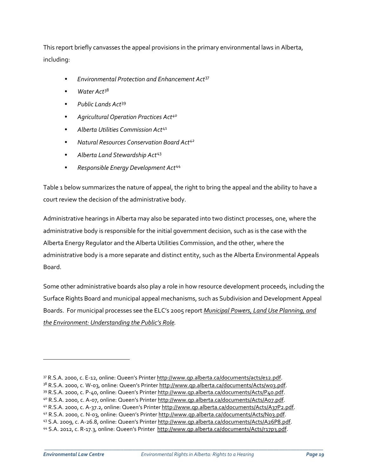This report briefly canvasses the appeal provisions in the primary environmental laws in Alberta, including:

- *Environmental Protection and Enhancement Act*[37](#page-18-0)
- *Water Act*[38](#page-18-1)
- *Public Lands Act*[39](#page-18-2)
- *Agricultural Operation Practices Act[40](#page-18-3)*
- *Alberta Utilities Commission Act*[41](#page-18-4)
- *Natural Resources Conservation Board Act[42](#page-18-5)*
- *Alberta Land Stewardship Act*[43](#page-18-6)
- *Responsible Energy Development Act*[44](#page-18-7)

Table 1 below summarizes the nature of appeal, the right to bring the appeal and the ability to have a court review the decision of the administrative body.

Administrative hearings in Alberta may also be separated into two distinct processes, one, where the administrative body is responsible for the initial government decision, such as is the case with the Alberta Energy Regulator and the Alberta Utilities Commission, and the other, where the administrative body is a more separate and distinct entity, such as the Alberta Environmental Appeals Board.

Some other administrative boards also play a role in how resource development proceeds, including the Surface Rights Board and municipal appeal mechanisms, such as Subdivision and Development Appeal Boards. For municipal processes see the ELC's 2005 report *Municipal Powers, Land Use Planning, and the Environment: Understanding the Public's Role.*

 $\overline{a}$ 

<span id="page-18-0"></span><sup>37</sup> R.S.A. 2000, c. E-12, online: Queen's Printe[r http://www.qp.alberta.ca/documents/acts/e12.pdf.](http://www.qp.alberta.ca/documents/acts/e12.pdf)

<span id="page-18-1"></span><sup>38</sup> R.S.A. 2000, c. W-03, online: Queen's Printer http://www.qp.alberta.ca/documents/Acts/wo3.pdf.

<span id="page-18-2"></span><sup>39</sup> R.S.A. 2000, c. P-40, online: Queen's Printer [http://www.qp.alberta.ca/documents/Acts/P40.pdf.](http://www.qp.alberta.ca/documents/Acts/P40.pdf)

<span id="page-18-3"></span><sup>4</sup>º R.S.A. 2000, c. A-07, online: Queen's Printer [http://www.qp.alberta.ca/documents/Acts/A07.pdf.](http://www.qp.alberta.ca/documents/Acts/A07.pdf)

<span id="page-18-4"></span><sup>41</sup> R.S.A. 2000, c. A-37.2, online: Queen's Printe[r http://www.qp.alberta.ca/documents/Acts/A37P2.pdf.](http://www.qp.alberta.ca/documents/Acts/A37P2.pdf)

<span id="page-18-5"></span><sup>42</sup> R.S.A. 2000, c. N-03, online: Queen's Printer [http://www.qp.alberta.ca/documents/Acts/N03.pdf.](http://www.qp.alberta.ca/documents/Acts/N03.pdf)

<span id="page-18-6"></span><sup>43</sup> S.A. 2009, c. A-26.8, online: Queen's Printer [http://www.qp.alberta.ca/documents/Acts/A26P8.pdf.](http://www.qp.alberta.ca/documents/Acts/A26P8.pdf)

<span id="page-18-7"></span><sup>44</sup> S.A. 2012, c. R-17.3, online: Queen's Printer [http://www.qp.alberta.ca/documents/Acts/r17p3.pdf.](http://www.qp.alberta.ca/documents/Acts/r17p3.pdf)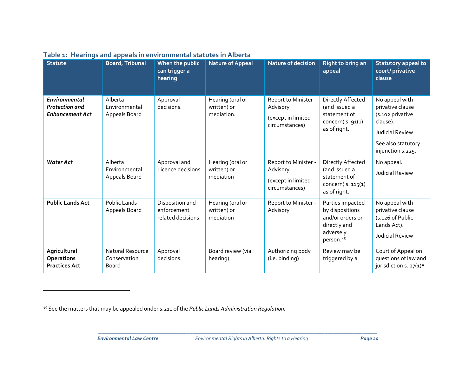| <b>Statute</b>                                                   | <b>Board, Tribunal</b>                    | When the public<br>can trigger a<br>hearing          | <b>Nature of Appeal</b>                       | Nature of decision                                                       | Right to bring an<br>appeal                                                                        | Statutory appeal to<br>court/ privative<br>clause                                                                                |
|------------------------------------------------------------------|-------------------------------------------|------------------------------------------------------|-----------------------------------------------|--------------------------------------------------------------------------|----------------------------------------------------------------------------------------------------|----------------------------------------------------------------------------------------------------------------------------------|
| Environmental<br><b>Protection</b> and<br><b>Enhancement Act</b> | Alberta<br>Environmental<br>Appeals Board | Approval<br>decisions.                               | Hearing (oral or<br>written) or<br>mediation. | Report to Minister -<br>Advisory<br>(except in limited<br>circumstances) | Directly Affected<br>(and issued a<br>statement of<br>concern) $s. 91(1)$<br>as of right.          | No appeal with<br>privative clause<br>(s.102 privative<br>clause).<br>Judicial Review<br>See also statutory<br>injunction s.225. |
| <b>Water Act</b>                                                 | Alberta<br>Environmental<br>Appeals Board | Approval and<br>Licence decisions.                   | Hearing (oral or<br>written) or<br>mediation  | Report to Minister -<br>Advisory<br>(except in limited<br>circumstances) | Directly Affected<br>(and issued a<br>statement of<br>concern) s. 115(1)<br>as of right.           | No appeal.<br>Judicial Review                                                                                                    |
| <b>Public Lands Act</b>                                          | <b>Public Lands</b><br>Appeals Board      | Disposition and<br>enforcement<br>related decisions. | Hearing (oral or<br>written) or<br>mediation  | Report to Minister -<br>Advisory                                         | Parties impacted<br>by dispositions<br>and/or orders or<br>directly and<br>adversely<br>person. 45 | No appeal with<br>privative clause<br>(s.126 of Public<br>Lands Act).<br><b>Judicial Review</b>                                  |
| Agricultural<br><b>Operations</b><br><b>Practices Act</b>        | Natural Resource<br>Conservation<br>Board | Approval<br>decisions.                               | Board review (via<br>hearing)                 | Authorizing body<br>(i.e. binding)                                       | Review may be<br>triggered by a                                                                    | Court of Appeal on<br>questions of law and<br>jurisdiction s. $27(1)^*$                                                          |

## <span id="page-19-0"></span>**Table 1: Hearings and appeals in environmental statutes in Alberta**

 $\overline{a}$ 

<sup>45</sup> See the matters that may be appealed under s.211 of the *Public Lands Administration Regulation.*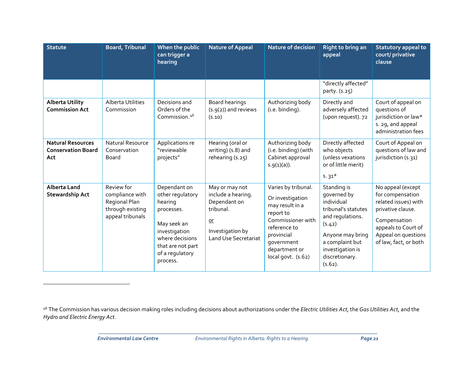<span id="page-20-0"></span>

| <b>Statute</b>                                               | <b>Board, Tribunal</b>                                                                 | When the public<br>can trigger a<br>hearing                                                                                                                      | <b>Nature of Appeal</b>                                                                                                      | Nature of decision                                                                                                                                                              | <b>Right to bring an</b><br>appeal                                                                                                                                                       | Statutory appeal to<br>court/ privative<br>clause                                                                                                                         |
|--------------------------------------------------------------|----------------------------------------------------------------------------------------|------------------------------------------------------------------------------------------------------------------------------------------------------------------|------------------------------------------------------------------------------------------------------------------------------|---------------------------------------------------------------------------------------------------------------------------------------------------------------------------------|------------------------------------------------------------------------------------------------------------------------------------------------------------------------------------------|---------------------------------------------------------------------------------------------------------------------------------------------------------------------------|
|                                                              |                                                                                        |                                                                                                                                                                  |                                                                                                                              |                                                                                                                                                                                 | "directly affected"<br>party. (s.25)                                                                                                                                                     |                                                                                                                                                                           |
| <b>Alberta Utility</b><br><b>Commission Act</b>              | Alberta Utilities<br>Commission                                                        | Decisions and<br>Orders of the<br>Commission. <sup>46</sup>                                                                                                      | <b>Board hearings</b><br>$(s.9(2))$ and reviews<br>(5.10)                                                                    | Authorizing body<br>(i.e. binding).                                                                                                                                             | Directly and<br>adversely affected<br>(upon request). 72                                                                                                                                 | Court of appeal on<br>questions of<br>jurisdiction or law*<br>s. 29, and appeal<br>administration fees                                                                    |
| <b>Natural Resources</b><br><b>Conservation Board</b><br>Act | Natural Resource<br>Conservation<br><b>Board</b>                                       | Applications re<br>"reviewable<br>projects"                                                                                                                      | Hearing (oral or<br>writing) (s.8) and<br>rehearing (s.25)                                                                   | Authorizing body<br>(i.e. binding) (with<br>Cabinet approval<br>s.g(1)(a)).                                                                                                     | Directly affected<br>who objects<br>(unless vexations<br>or of little merit)<br>$5.31*$                                                                                                  | Court of Appeal on<br>questions of law and<br>jurisdiction (s.31)                                                                                                         |
| <b>Alberta Land</b><br><b>Stewardship Act</b>                | Review for<br>compliance with<br>Regional Plan<br>through existing<br>appeal tribunals | Dependant on<br>other regulatory<br>hearing<br>processes.<br>May seek an<br>investigation<br>where decisions<br>that are not part<br>of a regulatory<br>process. | May or may not<br>include a hearing.<br>Dependant on<br>tribunal.<br>$or$<br>Investigation by<br><b>Land Use Secretariat</b> | Varies by tribunal.<br>Or investigation<br>may result in a<br>report to<br>Commissioner with<br>reference to<br>provincial<br>government<br>department or<br>local govt. (s.62) | Standing is<br>governed by<br>individual<br>tribunal's statutes<br>and regulations.<br>(5.42)<br>Anyone may bring<br>a complaint but<br>investigation is<br>discretionary.<br>$(5.62)$ . | No appeal (except<br>for compensation<br>related issues) with<br>privative clause.<br>Compensation<br>appeals to Court of<br>Appeal on questions<br>of law, fact, or both |

\_\_\_\_\_\_\_\_\_\_\_\_\_\_\_\_\_\_\_\_\_\_\_\_\_\_\_\_\_\_\_\_\_\_\_\_\_\_\_\_\_\_\_\_\_\_\_\_\_\_\_\_\_\_\_\_\_\_\_\_\_\_\_\_\_\_\_\_\_\_\_\_\_\_\_\_\_\_\_\_\_\_\_\_\_\_\_\_\_\_\_\_\_\_\_

 $\overline{a}$ 

<sup>46</sup> The Commission has various decision making roles including decisions about authorizations under the *Electric Utilities Act*, the *Gas Utilities Act*, and the *Hydro and Electric Energy Act*.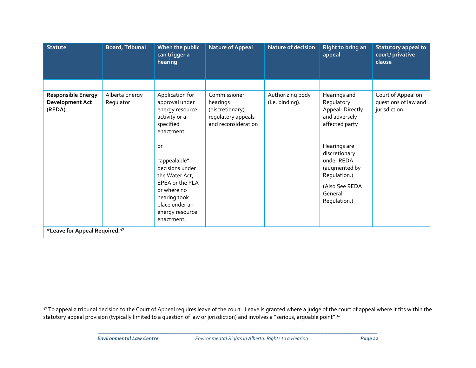<span id="page-21-0"></span>

| <b>Statute</b>                                                | <b>Board, Tribunal</b>      | When the public<br>can trigger a<br>hearing                                                                                                                                                                                                                      | <b>Nature of Appeal</b>                                                                   | Nature of decision                  | Right to bring an<br>appeal                                                                                                                                                                                   | <b>Statutory appeal to</b><br>court/ privative<br>clause    |  |
|---------------------------------------------------------------|-----------------------------|------------------------------------------------------------------------------------------------------------------------------------------------------------------------------------------------------------------------------------------------------------------|-------------------------------------------------------------------------------------------|-------------------------------------|---------------------------------------------------------------------------------------------------------------------------------------------------------------------------------------------------------------|-------------------------------------------------------------|--|
|                                                               |                             |                                                                                                                                                                                                                                                                  |                                                                                           |                                     |                                                                                                                                                                                                               |                                                             |  |
| <b>Responsible Energy</b><br><b>Development Act</b><br>(REDA) | Alberta Energy<br>Regulator | Application for<br>approval under<br>energy resource<br>activity or a<br>specified<br>enactment.<br>or<br>"appealable"<br>decisions under<br>the Water Act,<br>EPEA or the PLA<br>or where no<br>hearing took<br>place under an<br>energy resource<br>enactment. | Commissioner<br>hearings<br>(discretionary),<br>regulatory appeals<br>and reconsideration | Authorizing body<br>(i.e. binding). | Hearings and<br>Regulatory<br>Appeal-Directly<br>and adversely<br>affected party<br>Hearings are<br>discretionary<br>under REDA<br>(augmented by<br>Regulation.)<br>(Also See REDA<br>General<br>Regulation.) | Court of Appeal on<br>questions of law and<br>jurisdiction. |  |
| *Leave for Appeal Required. <sup>47</sup>                     |                             |                                                                                                                                                                                                                                                                  |                                                                                           |                                     |                                                                                                                                                                                                               |                                                             |  |

\_\_\_\_\_\_\_\_\_\_\_\_\_\_\_\_\_\_\_\_\_\_\_\_\_\_\_\_\_\_\_\_\_\_\_\_\_\_\_\_\_\_\_\_\_\_\_\_\_\_\_\_\_\_\_\_\_\_\_\_\_\_\_\_\_\_\_\_\_\_\_\_\_\_\_\_\_\_\_\_\_\_\_\_\_\_\_\_\_\_\_\_\_\_\_

 $\overline{a}$ 

<sup>47</sup> To appeal a tribunal decision to the Court of Appeal requires leave of the court. Leave is granted where a judge of the court of appeal where it fits within the statutory appeal provision (typically limited to a question of law or jurisdiction) and involves a "serious, arguable point".47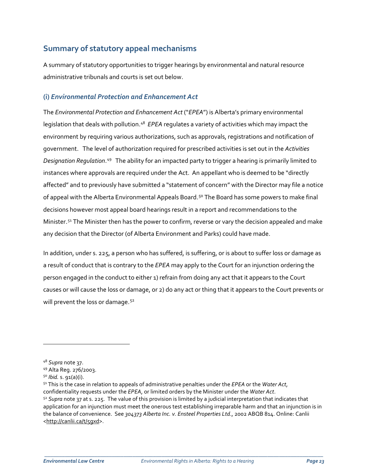## **Summary of statutory appeal mechanisms**

A summary of statutory opportunities to trigger hearings by environmental and natural resource administrative tribunals and courts is set out below.

## **(i)** *Environmental Protection and Enhancement Act*

The *Environmental Protection and Enhancement Act* ("*EPEA*") is Alberta's primary environmental legislation that deals with pollution. [48](#page-22-0) *EPEA* regulates a variety of activities which may impact the environment by requiring various authorizations, such as approvals, registrations and notification of government. The level of authorization required for prescribed activities is set out in the *Activities Designation Regulation*. [49](#page-22-1) The ability for an impacted party to trigger a hearing is primarily limited to instances where approvals are required under the Act. An appellant who is deemed to be "directly affected" and to previously have submitted a "statement of concern" with the Director may file a notice of appeal with the Alberta Environmental Appeals Board.<sup>[50](#page-22-2)</sup> The Board has some powers to make final decisions however most appeal board hearings result in a report and recommendations to the Minister.<sup>[51](#page-22-3)</sup> The Minister then has the power to confirm, reverse or vary the decision appealed and make any decision that the Director (of Alberta Environment and Parks) could have made.

In addition, under s. 225, a person who has suffered, is suffering, or is about to suffer loss or damage as a result of conduct that is contrary to the *EPEA* may apply to the Court for an injunction ordering the person engaged in the conduct to either 1) refrain from doing any act that it appears to the Court causes or will cause the loss or damage, or 2) do any act or thing that it appears to the Court prevents or will prevent the loss or damage.<sup>[52](#page-22-4)</sup>

 $\overline{a}$ 

<span id="page-22-0"></span><sup>48</sup> *Supra* note 37.

<span id="page-22-1"></span><sup>49</sup> Alta Reg. 276/2003.

<span id="page-22-4"></span><span id="page-22-3"></span><span id="page-22-2"></span><sup>50</sup> *Ibid.* s. 91(a)(i). 51 This is the case in relation to appeals of administrative penalties under the *EPEA* or the *Water Act*, confidentiality requests under the *EPEA*, or limited orders by the Minister under the *Water Act*. <sup>52</sup> *Supra* note 37 at s. 225. The value of this provision is limited by a judicial interpretation that indicates that application for an injunction must meet the onerous test establishing irreparable harm and that an injunction is in the balance of convenience. See *304373 Alberta Inc. v. Ensteel Properties Ltd*., 2002 ABQB 814. Online: Canlii [<http://canlii.ca/t/5gxd>](http://canlii.ca/t/5gxd).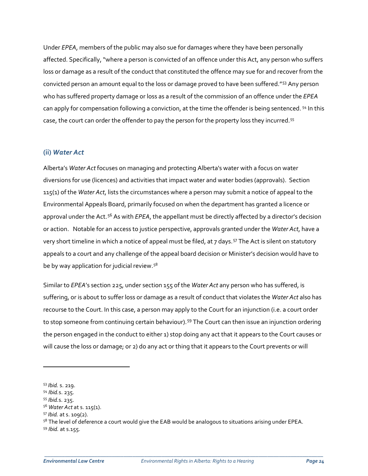Under *EPEA*, members of the public may also sue for damages where they have been personally affected. Specifically, "where a person is convicted of an offence under this Act, any person who suffers loss or damage as a result of the conduct that constituted the offence may sue for and recover from the convicted person an amount equal to the loss or damage proved to have been suffered."[53](#page-23-0) Any person who has suffered property damage or loss as a result of the commission of an offence under the *EPEA*  can apply for compensation following a conviction, at the time the offender is being sentenced. [54](#page-23-1) In this case, the court can order the offender to pay the person for the property loss they incurred.[55](#page-23-2)

### **(ii)** *Water Act*

Alberta's *Water Act* focuses on managing and protecting Alberta's water with a focus on water diversions for use (licences) and activities that impact water and water bodies (approvals). Section 115(1) of the *Water Act*, lists the circumstances where a person may submit a notice of appeal to the Environmental Appeals Board, primarily focused on when the department has granted a licence or approval under the Act. [56](#page-23-3) As with *EPEA*, the appellant must be directly affected by a director's decision or action. Notable for an access to justice perspective, approvals granted under the *Water Act*, have a very short timeline in which a notice of appeal must be filed, at 7 days.<sup>[57](#page-23-4)</sup> The Act is silent on statutory appeals to a court and any challenge of the appeal board decision or Minister's decision would have to be by way application for judicial review.<sup>58</sup>

Similar to *EPEA*'s section 225, under section 155 of the *Water Act* any person who has suffered, is suffering, or is about to suffer loss or damage as a result of conduct that violates the *Water Act* also has recourse to the Court. In this case, a person may apply to the Court for an injunction (i.e. a court order to stop someone from continuing certain behaviour).<sup>[59](#page-23-6)</sup> The Court can then issue an injunction ordering the person engaged in the conduct to either 1) stop doing any act that it appears to the Court causes or will cause the loss or damage; or 2) do any act or thing that it appears to the Court prevents or will

 $\overline{a}$ 

<span id="page-23-0"></span><sup>53</sup> *Ibid.* s. 219. 54 *Ibid.*s. 235.

<span id="page-23-1"></span>

<span id="page-23-2"></span><sup>55</sup> *Ibid.*s. 235.

<span id="page-23-3"></span><sup>56</sup> *Water Act* at s. 115(1).

<span id="page-23-4"></span><sup>57</sup> *Ibid.* at s. 109(2).

<span id="page-23-6"></span><span id="page-23-5"></span><sup>&</sup>lt;sup>58</sup> The level of deference a court would give the EAB would be analogous to situations arising under EPEA. <sup>59</sup> *Ibid.* at s.155.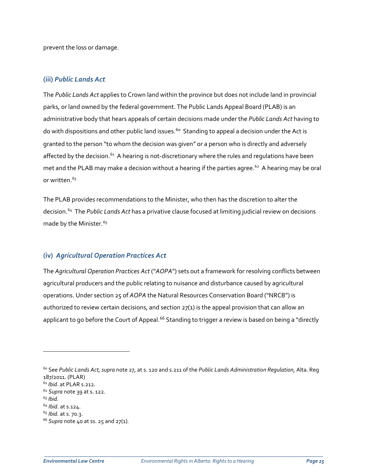prevent the loss or damage.

#### **(iii)** *Public Lands Act*

The *Public Lands Act* applies to Crown land within the province but does not include land in provincial parks, or land owned by the federal government. The Public Lands Appeal Board (PLAB) is an administrative body that hears appeals of certain decisions made under the *Public Lands Act* having to do with dispositions and other public land issues.<sup>[60](#page-24-0)</sup> Standing to appeal a decision under the Act is granted to the person "to whom the decision was given" or a person who is directly and adversely affected by the decision.<sup>[61](#page-24-1)</sup> A hearing is not-discretionary where the rules and regulations have been met and the PLAB may make a decision without a hearing if the parties agree.<sup>[62](#page-24-2)</sup> A hearing may be oral or written $63$ 

The PLAB provides recommendations to the Minister, who then has the discretion to alter the decision.[64](#page-24-4) The *Public Lands Act* has a privative clause focused at limiting judicial review on decisions made by the Minister.<sup>[65](#page-24-5)</sup>

## **(iv)** *Agricultural Operation Practices Act*

The *Agricultural Operation Practices Act* ("*AOPA*") sets out a framework for resolving conflicts between agricultural producers and the public relating to nuisance and disturbance caused by agricultural operations. Under section 25 of *AOPA* the Natural Resources Conservation Board ("NRCB") is authorized to review certain decisions, and section  $27(1)$  is the appeal provision that can allow an applicant to go before the Court of Appeal.<sup>[66](#page-24-6)</sup> Standing to trigger a review is based on being a "directly

 $\overline{a}$ 

<span id="page-24-0"></span><sup>60</sup> See *Public Lands Act, supra* note 27, at s. 120 and s.211 of the *Public Lands Administration Regulation*, Alta. Reg 187/2011. (PLAR)

<span id="page-24-1"></span><sup>61</sup> *Ibid*. at PLAR s.212.

<span id="page-24-2"></span><sup>62</sup> *Supra* note 39 at s. 122.

<span id="page-24-3"></span><sup>63</sup> *Ibid*.

<span id="page-24-4"></span><sup>64</sup> *Ibid*. at s.124.

<span id="page-24-5"></span><sup>65</sup> *Ibid.* at s. 70.3.

<span id="page-24-6"></span><sup>66</sup> *Supra* note 40 at ss. 25 and 27(1)*.*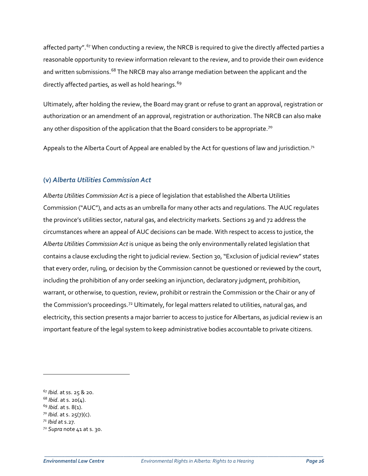affected party".<sup>[67](#page-25-0)</sup> When conducting a review, the NRCB is required to give the directly affected parties a reasonable opportunity to review information relevant to the review, and to provide their own evidence and written submissions.<sup>[68](#page-25-1)</sup> The NRCB may also arrange mediation between the applicant and the directly affected parties, as well as hold hearings.<sup>[69](#page-25-2)</sup>

Ultimately, after holding the review, the Board may grant or refuse to grant an approval, registration or authorization or an amendment of an approval, registration or authorization. The NRCB can also make any other disposition of the application that the Board considers to be appropriate.<sup>[70](#page-25-3)</sup>

Appeals to the Alberta Court of Appeal are enabled by the Act for questions of law and jurisdiction.<sup>71</sup>

### **(v)** *Alberta Utilities Commission Act*

*Alberta Utilities Commission Act* is a piece of legislation that established the Alberta Utilities Commission ("AUC"), and acts as an umbrella for many other acts and regulations. The AUC regulates the province's utilities sector, natural gas, and electricity markets. Sections 29 and 72 address the circumstances where an appeal of AUC decisions can be made. With respect to access to justice, the *Alberta Utilities Commission Act* is unique as being the only environmentally related legislation that contains a clause excluding the right to judicial review. Section 30,"Exclusion of judicial review" states that every order, ruling, or decision by the Commission cannot be questioned or reviewed by the court, including the prohibition of any order seeking an injunction, declaratory judgment, prohibition, warrant, or otherwise, to question, review, prohibit or restrain the Commission or the Chair or any of the Commission's proceedings.<sup>[72](#page-25-5)</sup> Ultimately, for legal matters related to utilities, natural gas, and electricity, this section presents a major barrier to access to justice for Albertans, as judicial review is an important feature of the legal system to keep administrative bodies accountable to private citizens.

 $\overline{a}$ 

<span id="page-25-0"></span><sup>67</sup> *Ibid*. at ss. 25 & 20.

<span id="page-25-1"></span><sup>68</sup> *Ibid*. at s. 20(4).

<span id="page-25-2"></span><sup>69</sup> *Ibid*. at s. 8(1).

<span id="page-25-3"></span><sup>70</sup> *Ibid*. at s. 25(7)(c).

<span id="page-25-4"></span>*<sup>71</sup> Ibid* at s.27*.*

<span id="page-25-5"></span><sup>72</sup> *Supra* note 41 at s. 30.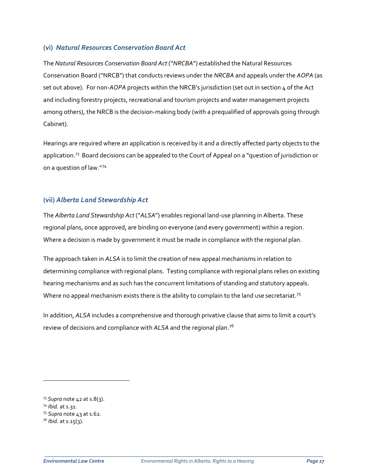## **(vi)** *Natural Resources Conservation Board Act*

The *Natural Resources Conservation Board Act* ("*NRCBA*") established the Natural Resources Conservation Board ("NRCB") that conducts reviews under the *NRCBA* and appeals under the *AOPA* (as set out above). For non-*AOPA* projects within the NRCB's jurisdiction (set out in section 4 of the Act and including forestry projects, recreational and tourism projects and water management projects among others), the NRCB is the decision-making body (with a prequalified of approvals going through Cabinet).

Hearings are required where an application is received by it and a directly affected party objects to the application.<sup>[73](#page-26-0)</sup> Board decisions can be appealed to the Court of Appeal on a "question of jurisdiction or on a question of law."[74](#page-26-1)

## **(vii)** *Alberta Land Stewardship Act*

The *Alberta Land Stewardship Act* ("*ALSA*") enables regional land-use planning in Alberta. These regional plans, once approved, are binding on everyone (and every government) within a region. Where a decision is made by government it must be made in compliance with the regional plan.

The approach taken in *ALSA* is to limit the creation of new appeal mechanisms in relation to determining compliance with regional plans. Testing compliance with regional plans relies on existing hearing mechanisms and as such has the concurrent limitations of standing and statutory appeals. Where no appeal mechanism exists there is the ability to complain to the land use secretariat.<sup>[75](#page-26-2)</sup>

In addition, *ALSA* includes a comprehensive and thorough privative clause that aims to limit a court's review of decisions and compliance with *ALSA* and the regional plan.[76](#page-26-3)

 $\overline{a}$ 

<span id="page-26-0"></span><sup>73</sup> *Supra* note 42 at s.8(3).

<span id="page-26-1"></span><sup>74</sup> *Ibid.* at s.31*.*

<span id="page-26-2"></span><sup>75</sup> *Supra* note 43 at s.62.

<span id="page-26-3"></span><sup>76</sup> *Ibid*. at s.15(3).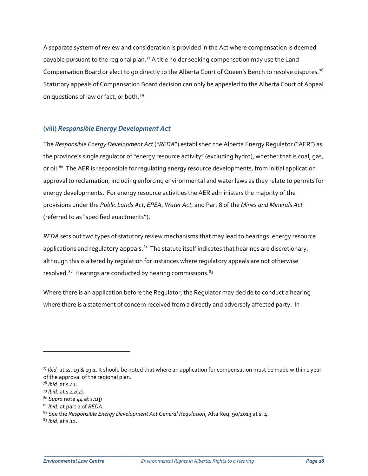A separate system of review and consideration is provided in the Act where compensation is deemed payable pursuant to the regional plan. $77$  A title holder seeking compensation may use the Land Compensation Board or elect to go directly to the Alberta Court of Queen's Bench to resolve disputes.<sup>[78](#page-27-1)</sup> Statutory appeals of Compensation Board decision can only be appealed to the Alberta Court of Appeal on questions of law or fact, or both.[79](#page-27-2) 

## **(viii)** *Responsible Energy Development Act*

The *Responsible Energy Development Act* ("*REDA*") established the Alberta Energy Regulator ("AER") as the province's single regulator of "energy resource activity" (excluding hydro), whether that is coal, gas, or oil.<sup>[80](#page-27-3)</sup> The AER is responsible for regulating energy resource developments, from initial application approval to reclamation, including enforcing environmental and water laws as they relate to permits for energy developments. For energy resource activities the AER administers the majority of the provisions under the *Public Lands Act*, *EPEA*, *Water Act*, and Part 8 of the *Mines and Minerals Act* (referred to as "specified enactments").

*REDA* sets out two types of statutory review mechanisms that may lead to hearings: energy resource applications and [regulatory appeals](https://www.aer.ca/applications-and-notices/regulatory-appeal-process).<sup>[81](#page-27-4)</sup> The statute itself indicates that hearings are discretionary, although this is altered by regulation for instances where regulatory appeals are not otherwise resolved.<sup>[82](#page-27-5)</sup> Hearings are conducted by hearing commissions.<sup>[83](#page-27-6)</sup>

Where there is an application before the Regulator, the Regulator may decide to conduct a hearing where there is a statement of concern received from a directly and adversely affected party. In

 $\overline{a}$ 

<span id="page-27-6"></span><sup>83</sup> *Ibid*. at s.12.

<span id="page-27-0"></span> $77$  *Ibid.* at ss. 19 & 19.1. It should be noted that where an application for compensation must be made within 1 year of the approval of the regional plan.

<span id="page-27-1"></span><sup>78</sup> *Ibid*. at s.41.

<span id="page-27-2"></span><sup>79</sup> *Ibid.* at s.42(2).

<span id="page-27-3"></span><sup>80</sup> *Supra* note 44 at s.1(j)

<span id="page-27-4"></span><sup>81</sup> *Ibid.* at part 2 of *REDA*.

<span id="page-27-5"></span><sup>82</sup> See the *Responsible Energy Development Act General Regulation*, Alta Reg. 90/2013 at s. 4.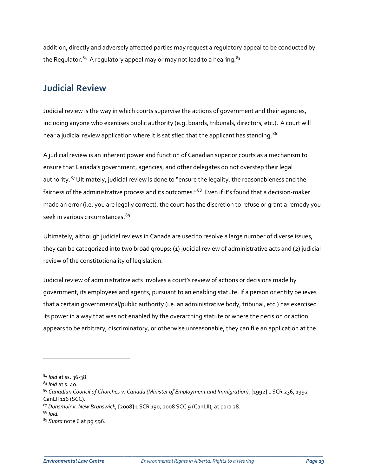addition, directly and adversely affected parties may request a regulatory appeal to be conducted by the Regulator.<sup>84</sup> A regulatory appeal may or may not lead to a hearing.<sup>[85](#page-28-1)</sup>

## **Judicial Review**

Judicial review is the way in which courts supervise the actions of government and their agencies, including anyone who exercises public authority (e.g. boards, tribunals, directors, etc.). A court will hear a judicial review application where it is satisfied that the applicant has standing.<sup>[86](#page-28-2)</sup>

A judicial review is an inherent power and function of Canadian superior courts as a mechanism to ensure that Canada's government, agencies, and other delegates do not overstep their legal authority.<sup>[87](#page-28-3)</sup> Ultimately, judicial review is done to "ensure the legality, the reasonableness and the fairness of the administrative process and its outcomes.<sup>"[88](#page-28-4)</sup> Even if it's found that a decision-maker made an error (i.e. you are legally correct), the court has the discretion to refuse or grant a remedy you seek in various circumstances. [89](#page-28-5)

Ultimately, although judicial reviews in Canada are used to resolve a large number of diverse issues, they can be categorized into two broad groups: (1) judicial review of administrative acts and (2) judicial review of the constitutionality of legislation.

Judicial review of administrative acts involves a court's review of actions or decisions made by government, its employees and agents, pursuant to an enabling statute. If a person or entity believes that a certain governmental/public authority (i.e. an administrative body, tribunal, etc.) has exercised its power in a way that was not enabled by the overarching statute or where the decision or action appears to be arbitrary, discriminatory, or otherwise unreasonable, they can file an application at the

 $\overline{\phantom{a}}$ 

<span id="page-28-0"></span><sup>84</sup> *Ibid* at ss. 36-38.

<span id="page-28-1"></span><sup>85</sup> *Ibid* at s. 40.

<span id="page-28-2"></span><sup>86</sup> *Canadian Council of Churches v. Canada (Minister of Employment and Immigration)*, [1992] 1 SCR 236, 1992 CanLII 116 (SCC).

<span id="page-28-3"></span><sup>87</sup> *Dunsmuir v. New Brunswick*, [2008] 1 SCR 190, 2008 SCC 9 (CanLII), at para 28.

<span id="page-28-4"></span><sup>88</sup> *Ibid.*

<span id="page-28-5"></span><sup>89</sup> *Supra* note 6 at pg 596.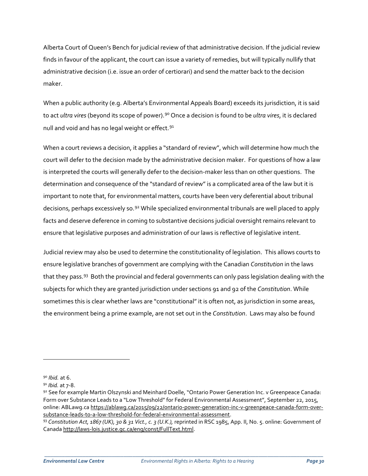Alberta Court of Queen's Bench for judicial review of that administrative decision. If the judicial review finds in favour of the applicant, the court can issue a variety of remedies, but will typically nullify that administrative decision (i.e. issue an order of certiorari) and send the matter back to the decision maker.

When a public authority (e.g. Alberta's Environmental Appeals Board) exceeds its jurisdiction, it is said to act *ultra vires* (beyond its scope of power).[90](#page-29-0) Once a decision is found to be *ultra vires*, it is declared null and void and has no legal weight or effect.<sup>[91](#page-29-1)</sup>

When a court reviews a decision, it applies a "standard of review", which will determine how much the court will defer to the decision made by the administrative decision maker. For questions of how a law is interpreted the courts will generally defer to the decision-maker less than on other questions. The determination and consequence of the "standard of review" is a complicated area of the law but it is important to note that, for environmental matters, courts have been very deferential about tribunal decisions, perhaps excessively so.<sup>[92](#page-29-2)</sup> While specialized environmental tribunals are well placed to apply facts and deserve deference in coming to substantive decisions judicial oversight remains relevant to ensure that legislative purposes and administration of our laws is reflective of legislative intent.

Judicial review may also be used to determine the constitutionality of legislation. This allows courts to ensure legislative branches of government are complying with the Canadian *Constitution* in the laws that they pass.<sup>93</sup> Both the provincial and federal governments can only pass legislation dealing with the subjects for which they are granted jurisdiction under sections 91 and 92 of the *Constitution*. While sometimes this is clear whether laws are "constitutional" it is often not, as jurisdiction in some areas, the environment being a prime example, are not set out in the *Constitution*. Laws may also be found

 $\overline{a}$ 

<span id="page-29-2"></span>

<span id="page-29-1"></span><span id="page-29-0"></span><sup>&</sup>lt;sup>90</sup> *Ibid.* at 6.<br><sup>91</sup> *Ibid.* at 7-8.<br><sup>92</sup> See for example Martin Olszynski and Meinhard Doelle, "Ontario Power Generation Inc. v Greenpeace Canada: Form over Substance Leads to a "Low Threshold" for Federal Environmental Assessment", September 22, 2015, online: ABLawg.ca [https://ablawg.ca/2015/09/22/ontario-power-generation-inc-v-greenpeace-canada-form-over](https://ablawg.ca/2015/09/22/ontario-power-generation-inc-v-greenpeace-canada-form-over-substance-leads-to-a-low-threshold-for-federal-environmental-assessment)[substance-leads-to-a-low-threshold-for-federal-environmental-assessment.](https://ablawg.ca/2015/09/22/ontario-power-generation-inc-v-greenpeace-canada-form-over-substance-leads-to-a-low-threshold-for-federal-environmental-assessment)

<span id="page-29-3"></span><sup>93</sup> *Constitution Act, 1867 (UK), 30 & 31 Vict., c. 3 (U.K.),* reprinted in RSC 1985, App. II, No. 5. online: Government of Canad[a http://laws-lois.justice.gc.ca/eng/const/FullText.html.](http://laws-lois.justice.gc.ca/eng/const/FullText.html)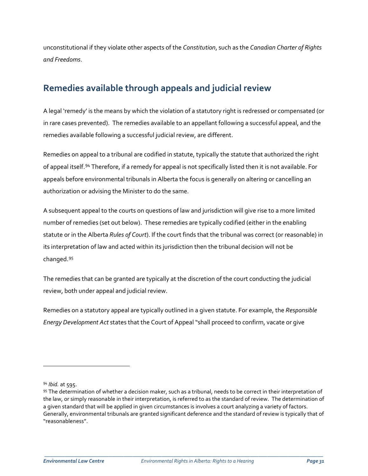unconstitutional if they violate other aspects of the *Constitution*, such as the *Canadian Charter of Rights and Freedoms*.

# **Remedies available through appeals and judicial review**

A legal 'remedy' is the means by which the violation of a statutory right is redressed or compensated (or in rare cases prevented). The remedies available to an appellant following a successful appeal, and the remedies available following a successful judicial review, are different.

Remedies on appeal to a tribunal are codified in statute, typically the statute that authorized the right of appeal itself.[94](#page-30-0) Therefore, if a remedy for appeal is not specifically listed then it is not available. For appeals before environmental tribunals in Alberta the focus is generally on altering or cancelling an authorization or advising the Minister to do the same.

A subsequent appeal to the courts on questions of law and jurisdiction will give rise to a more limited number of remedies (set out below). These remedies are typically codified (either in the enabling statute or in the Alberta *Rules of Court*). If the court finds that the tribunal was correct (or reasonable) in its interpretation of law and acted within its jurisdiction then the tribunal decision will not be changed.[95](#page-30-1)

The remedies that can be granted are typically at the discretion of the court conducting the judicial review, both under appeal and judicial review.

Remedies on a statutory appeal are typically outlined in a given statute. For example, the *Responsible Energy Development Act* states that the Court of Appeal "shall proceed to confirm, vacate or give

 $\overline{a}$ 

<span id="page-30-0"></span><sup>94</sup> *Ibid.* at 595.

<span id="page-30-1"></span><sup>95</sup> The determination of whether a decision maker, such as a tribunal, needs to be correct in their interpretation of the law, or simply reasonable in their interpretation, is referred to as the standard of review. The determination of a given standard that will be applied in given circumstances is involves a court analyzing a variety of factors. Generally, environmental tribunals are granted significant deference and the standard of review is typically that of "reasonableness".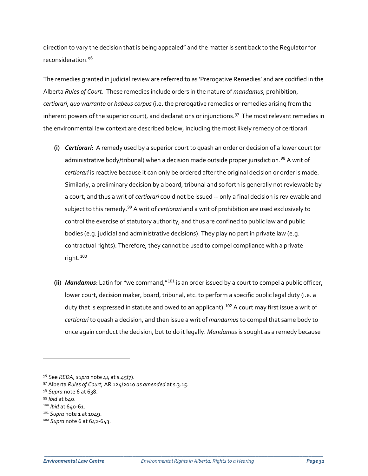direction to vary the decision that is being appealed" and the matter is sent back to the Regulator for reconsideration.[96](#page-31-0)

The remedies granted in judicial review are referred to as 'Prerogative Remedies' and are codified in the Alberta *Rules of Court*. These remedies include orders in the nature of *mandamus*, prohibition, *certiorari*, *quo warranto* or *habeus corpus*(i.e. the prerogative remedies or remedies arising from the inherent powers of the superior court), and declarations or injunctions.<sup>[97](#page-31-1)</sup> The most relevant remedies in the environmental law context are described below, including the most likely remedy of certiorari.

- **(i)** *Certiorari*: A remedy used by a superior court to quash an order or decision of a lower court (or administrative body/tribunal) when a decision made outside proper jurisdiction.<sup>[98](#page-31-2)</sup> A writ of *certiorari* is reactive because it can only be ordered after the original decision or order is made. Similarly, a preliminary decision by a board, tribunal and so forth is generally not reviewable by a court, and thus a writ of *certiorari* could not be issued -- only a final decision is reviewable and subject to this remedy.[99](#page-31-3) A writ of *certiorari* and a writ of prohibition are used exclusively to control the exercise of statutory authority, and thus are confined to public law and public bodies (e.g. judicial and administrative decisions). They play no part in private law (e.g. contractual rights). Therefore, they cannot be used to compel compliance with a private right.[100](#page-31-4)
- **(ii)** *Mandamus*: Latin for "we command,"[101](#page-31-5) is an order issued by a court to compel a public officer, lower court, decision maker, board, tribunal, etc. to perform a specific public legal duty (i.e. a duty that is expressed in statute and owed to an applicant).<sup>[102](#page-31-6)</sup> A court may first issue a writ of *certiorari* to quash a decision, and then issue a writ of *mandamus* to compel that same body to once again conduct the decision, but to do it legally. *Mandamus* is sought as a remedy because

 $\overline{\phantom{a}}$ 

<span id="page-31-0"></span><sup>96</sup> See *REDA*, *supra* note 44 at s.45(7).

<span id="page-31-1"></span><sup>97</sup> Alberta *Rules of Court,* AR 124/2010 *as amended* at s.3.15.

<span id="page-31-2"></span><sup>98</sup> *Supra* note 6 at 638.

<span id="page-31-4"></span><span id="page-31-3"></span><sup>99</sup> *Ibid* at 640. 100 *Ibid* at 640-61.

<span id="page-31-5"></span><sup>101</sup> *Supra* note 1 at 1049.

<span id="page-31-6"></span><sup>102</sup> *Supra* note 6 at 642-643.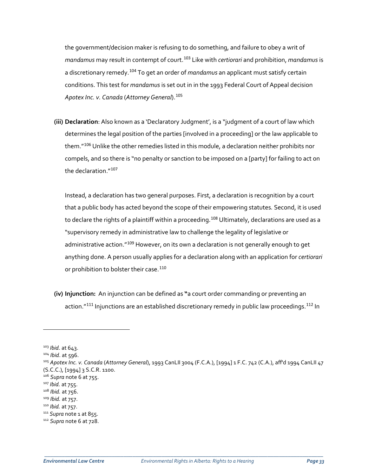the government/decision maker is refusing to do something, and failure to obey a writ of *mandamus* may result in contempt of court.[103](#page-32-0) Like with *certiorari* and prohibition, *mandamus* is a discretionary remedy.[104](#page-32-1) To get an order of *mandamus* an applicant must satisfy certain conditions. This test for *mandamus* is set out in in the 1993 Federal Court of Appeal decision *Apotex Inc. v. Canada* (*Attorney General*).[105](#page-32-2)

**(iii) Declaration**: Also known as a 'Declaratory Judgment', is a "judgment of a court of law which determines the legal position of the parties [involved in a proceeding] or the law applicable to them."<sup>[106](#page-32-3)</sup> Unlike the other remedies listed in this module, a declaration neither prohibits nor compels, and so there is "no penalty or sanction to be imposed on a [party] for failing to act on the declaration."[107](#page-32-4)

Instead, a declaration has two general purposes. First, a declaration is recognition by a court that a public body has acted beyond the scope of their empowering statutes*.* Second, it is used to declare the rights of a plaintiff within a proceeding.<sup>[108](#page-32-5)</sup> Ultimately, declarations are used as a "supervisory remedy in administrative law to challenge the legality of legislative or administrative action."<sup>[109](#page-32-6)</sup> However, on its own a declaration is not generally enough to get anything done. A person usually applies for a declaration along with an application for *certiorari*  or prohibition to bolster their case.<sup>[110](#page-32-7)</sup>

**(iv) Injunction:** An injunction can be defined as **"**a court order commanding or preventing an action."<sup>[111](#page-32-8)</sup> Injunctions are an established discretionary remedy in public law proceedings.<sup>[112](#page-32-9)</sup> In

 $\overline{\phantom{a}}$ 

<span id="page-32-0"></span><sup>103</sup> *Ibid*. at 643.

<span id="page-32-1"></span><sup>104</sup> *Ibid*. at 596.

<span id="page-32-2"></span><sup>105</sup> *Apotex Inc. v. Canada* (*Attorney General*), 1993 CanLII 3004 (F.C.A.), [1994] 1 F.C. 742 (C.A.), aff'd 1994 CanLII 47 (S.C.C.), [1994] 3 S.C.R. 1100.

<span id="page-32-4"></span><span id="page-32-3"></span><sup>106</sup> *Supra* note 6 at 755. 107 *Ibid.* at 755.

<span id="page-32-7"></span>

<span id="page-32-6"></span><span id="page-32-5"></span><sup>108</sup> *Ibid.* at 756. 109 *Ibid.* at 757. 110 *Ibid.* at 757. 111 *Supra* note 1 at 855.

<span id="page-32-9"></span><span id="page-32-8"></span><sup>112</sup> *Supra* note 6 at 728.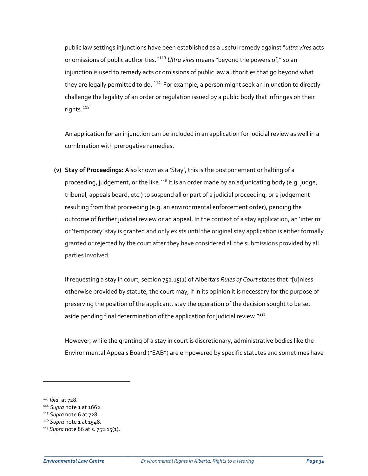public law settings injunctions have been established as a useful remedy against "*ultra vires* acts or omissions of public authorities."[113](#page-33-0) *Ultra vires* means "beyond the powers of," so an injunction is used to remedy acts or omissions of public law authorities that go beyond what they are legally permitted to do. <sup>[114](#page-33-1)</sup> For example, a person might seek an injunction to directly challenge the legality of an order or regulation issued by a public body that infringes on their rights.[115](#page-33-2)

An application for an injunction can be included in an application for judicial review as well in a combination with prerogative remedies.

**(v) Stay of Proceedings:** Also known as a 'Stay', this is the postponement or halting of a proceeding, judgement, or the like.<sup>[116](#page-33-3)</sup> It is an order made by an adjudicating body (e.g. judge, tribunal, appeals board, etc.) to suspend all or part of a judicial proceeding, or a judgement resulting from that proceeding (e.g. an environmental enforcement order), pending the outcome of further judicial review or an appeal. In the context of a stay application, an 'interim' or 'temporary' stay is granted and only exists until the original stay application is either formally granted or rejected by the court after they have considered all the submissions provided by all parties involved.

If requesting a stay in court, section 752.15(1) of Alberta's *Rules of Court* states that "[u]nless otherwise provided by statute, the court may, if in its opinion it is necessary for the purpose of preserving the position of the applicant, stay the operation of the decision sought to be set aside pending final determination of the application for judicial review."<sup>[117](#page-33-4)</sup>

However, while the granting of a stay in court is discretionary, administrative bodies like the Environmental Appeals Board ("EAB") are empowered by specific statutes and sometimes have

 $\overline{\phantom{a}}$ 

<span id="page-33-0"></span><sup>113</sup> *Ibid.* at 728.

<span id="page-33-1"></span><sup>114</sup> *Supra* note 1 at 1662.

<span id="page-33-2"></span><sup>115</sup> *Supra* note 6 at 728.

<span id="page-33-3"></span><sup>116</sup> *Supra* note 1 at 1548.

<span id="page-33-4"></span><sup>117</sup> *Supra* note 86 at s. 752.15(1).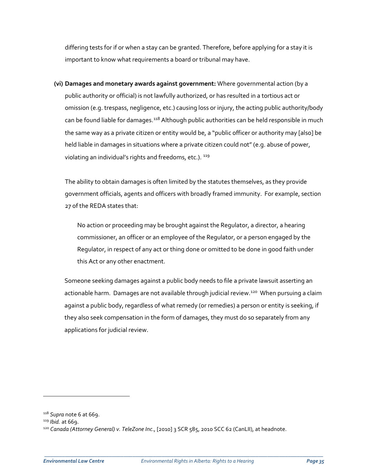differing tests for if or when a stay can be granted. Therefore, before applying for a stay it is important to know what requirements a board or tribunal may have.

**(vi) Damages and monetary awards against government:** Where governmental action (by a public authority or official) is not lawfully authorized, or has resulted in a tortious act or omission (e.g. trespass, negligence, etc.) causing loss or injury, the acting public authority/body can be found liable for damages.<sup>[118](#page-34-0)</sup> Although public authorities can be held responsible in much the same way as a private citizen or entity would be, a "public officer or authority may [also] be held liable in damages in situations where a private citizen could not" (e.g. abuse of power, violating an individual's rights and freedoms, etc.). <sup>[119](#page-34-1)</sup>

The ability to obtain damages is often limited by the statutes themselves, as they provide government officials, agents and officers with broadly framed immunity. For example, section 27 of the REDA states that:

No action or proceeding may be brought against the Regulator, a director, a hearing commissioner, an officer or an employee of the Regulator, or a person engaged by the Regulator, in respect of any act or thing done or omitted to be done in good faith under this Act or any other enactment.

Someone seeking damages against a public body needs to file a private lawsuit asserting an actionable harm. Damages are not available through judicial review.<sup>[120](#page-34-2)</sup> When pursuing a claim against a public body, regardless of what remedy (or remedies) a person or entity is seeking, if they also seek compensation in the form of damages, they must do so separately from any applications for judicial review.

 $\overline{\phantom{a}}$ 

<span id="page-34-0"></span><sup>118</sup> *Supra* note 6 at 669. 119 *Ibid.* at 669.

<span id="page-34-1"></span>

<span id="page-34-2"></span><sup>120</sup> *Canada (Attorney General) v. TeleZone Inc*., [2010] 3 SCR 585, 2010 SCC 62 (CanLII), at headnote.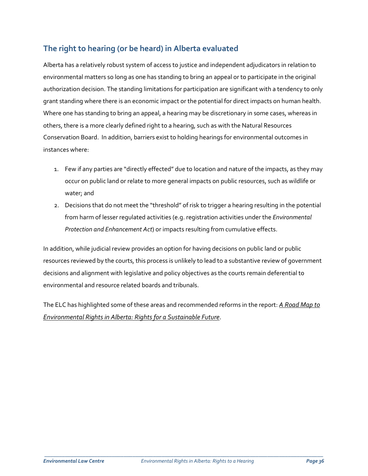## **The right to hearing (or be heard) in Alberta evaluated**

Alberta has a relatively robust system of access to justice and independent adjudicators in relation to environmental matters so long as one has standing to bring an appeal or to participate in the original authorization decision. The standing limitations for participation are significant with a tendency to only grant standing where there is an economic impact or the potential for direct impacts on human health. Where one has standing to bring an appeal, a hearing may be discretionary in some cases, whereas in others, there is a more clearly defined right to a hearing, such as with the Natural Resources Conservation Board. In addition, barriers exist to holding hearings for environmental outcomes in instances where:

- 1. Few if any parties are "directly effected" due to location and nature of the impacts, as they may occur on public land or relate to more general impacts on public resources, such as wildlife or water; and
- 2. Decisions that do not meet the "threshold" of risk to trigger a hearing resulting in the potential from harm of lesser regulated activities (e.g. registration activities under the *Environmental Protection and Enhancement Act*) or impacts resulting from cumulative effects.

In addition, while judicial review provides an option for having decisions on public land or public resources reviewed by the courts, this process is unlikely to lead to a substantive review of government decisions and alignment with legislative and policy objectives as the courts remain deferential to environmental and resource related boards and tribunals.

The ELC has highlighted some of these areas and recommended reforms in the report: *[A Road Map to](http://elc.ab.ca/wp-content/uploads/2017/09/Road-map-for-an-Environmental-Bill-of-Rights.pdf)  [Environmental Rights in Alberta: Rights for a Sustainable Future](http://elc.ab.ca/wp-content/uploads/2017/09/Road-map-for-an-Environmental-Bill-of-Rights.pdf)*.